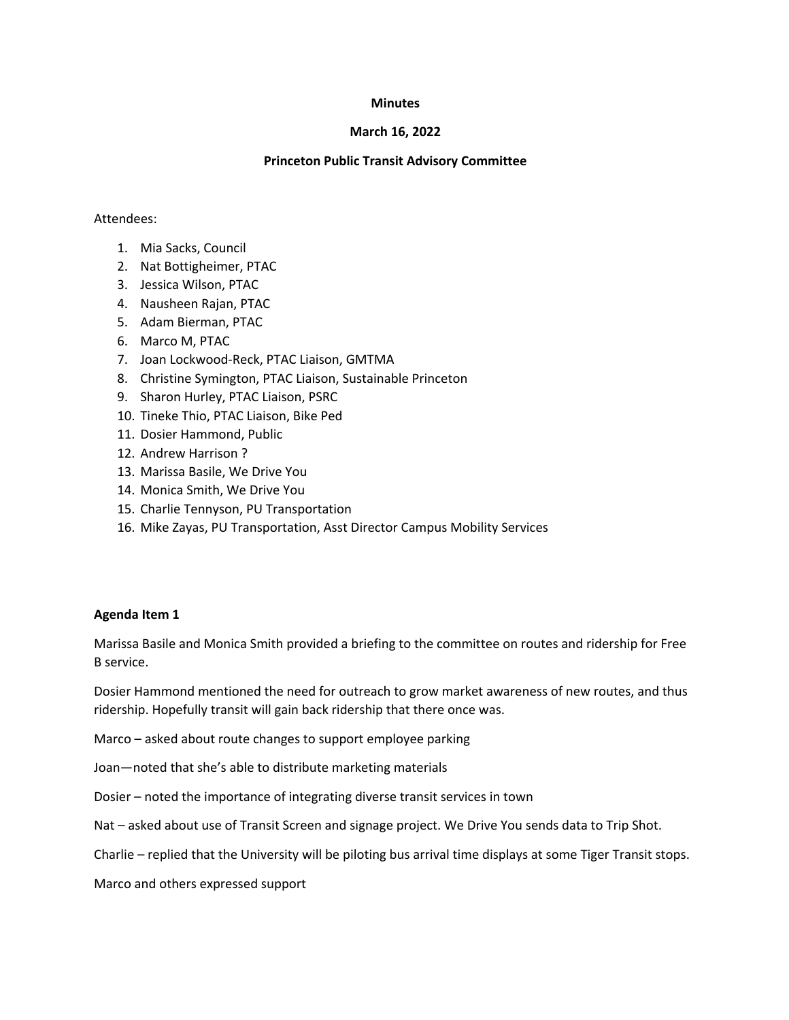#### **Minutes**

## **March 16, 2022**

### **Princeton Public Transit Advisory Committee**

#### Attendees:

- 1. Mia Sacks, Council
- 2. Nat Bottigheimer, PTAC
- 3. Jessica Wilson, PTAC
- 4. Nausheen Rajan, PTAC
- 5. Adam Bierman, PTAC
- 6. Marco M, PTAC
- 7. Joan Lockwood-Reck, PTAC Liaison, GMTMA
- 8. Christine Symington, PTAC Liaison, Sustainable Princeton
- 9. Sharon Hurley, PTAC Liaison, PSRC
- 10. Tineke Thio, PTAC Liaison, Bike Ped
- 11. Dosier Hammond, Public
- 12. Andrew Harrison ?
- 13. Marissa Basile, We Drive You
- 14. Monica Smith, We Drive You
- 15. Charlie Tennyson, PU Transportation
- 16. Mike Zayas, PU Transportation, Asst Director Campus Mobility Services

## **Agenda Item 1**

Marissa Basile and Monica Smith provided a briefing to the committee on routes and ridership for Free B service.

Dosier Hammond mentioned the need for outreach to grow market awareness of new routes, and thus ridership. Hopefully transit will gain back ridership that there once was.

Marco – asked about route changes to support employee parking

Joan—noted that she's able to distribute marketing materials

Dosier – noted the importance of integrating diverse transit services in town

Nat – asked about use of Transit Screen and signage project. We Drive You sends data to Trip Shot.

Charlie – replied that the University will be piloting bus arrival time displays at some Tiger Transit stops.

Marco and others expressed support